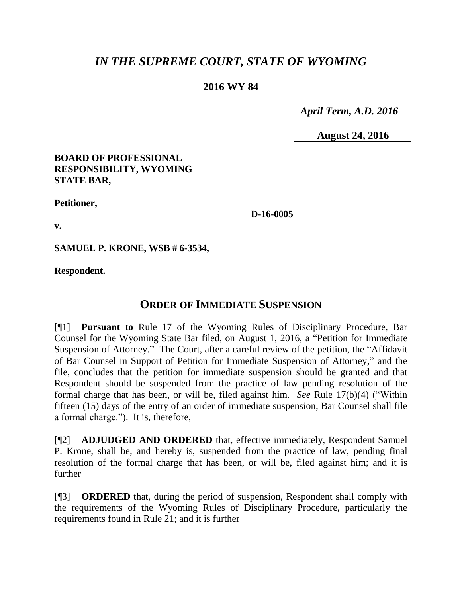# *IN THE SUPREME COURT, STATE OF WYOMING*

## **2016 WY 84**

 *April Term, A.D. 2016*

**August 24, 2016**

#### **BOARD OF PROFESSIONAL RESPONSIBILITY, WYOMING STATE BAR,**

**Petitioner,**

**v.**

**D-16-0005**

**SAMUEL P. KRONE, WSB # 6-3534,**

**Respondent.**

## **ORDER OF IMMEDIATE SUSPENSION**

[¶1] **Pursuant to** Rule 17 of the Wyoming Rules of Disciplinary Procedure, Bar Counsel for the Wyoming State Bar filed, on August 1, 2016, a "Petition for Immediate Suspension of Attorney." The Court, after a careful review of the petition, the "Affidavit of Bar Counsel in Support of Petition for Immediate Suspension of Attorney," and the file, concludes that the petition for immediate suspension should be granted and that Respondent should be suspended from the practice of law pending resolution of the formal charge that has been, or will be, filed against him. *See* Rule 17(b)(4) ("Within fifteen (15) days of the entry of an order of immediate suspension, Bar Counsel shall file a formal charge."). It is, therefore,

[¶2] **ADJUDGED AND ORDERED** that, effective immediately, Respondent Samuel P. Krone, shall be, and hereby is, suspended from the practice of law, pending final resolution of the formal charge that has been, or will be, filed against him; and it is further

[¶3] **ORDERED** that, during the period of suspension, Respondent shall comply with the requirements of the Wyoming Rules of Disciplinary Procedure, particularly the requirements found in Rule 21; and it is further